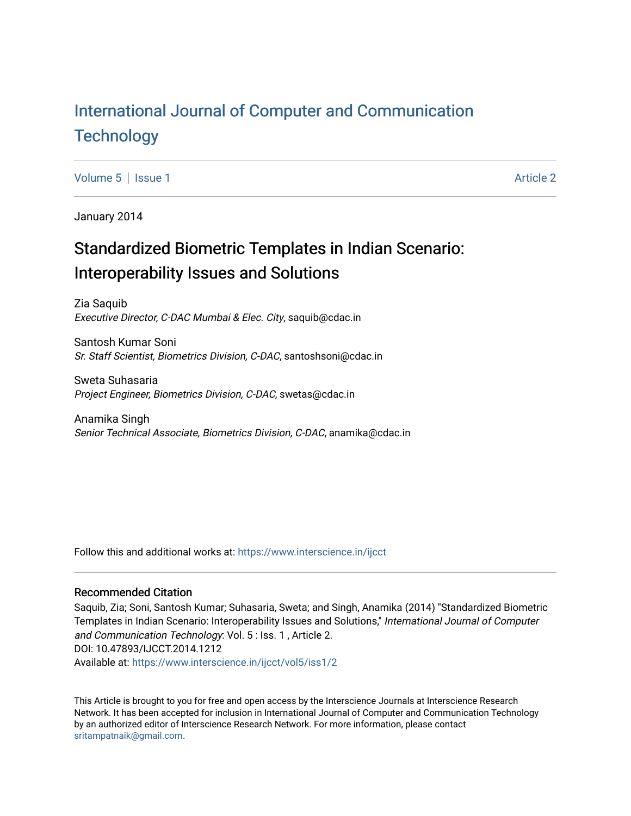# [International Journal of Computer and Communication](https://www.interscience.in/ijcct)  **Technology**

[Volume 5](https://www.interscience.in/ijcct/vol5) | [Issue 1](https://www.interscience.in/ijcct/vol5/iss1) Article 2

January 2014

# Standardized Biometric Templates in Indian Scenario: Interoperability Issues and Solutions

Zia Saquib Executive Director, C-DAC Mumbai & Elec. City, saquib@cdac.in

Santosh Kumar Soni Sr. Staff Scientist, Biometrics Division, C-DAC, santoshsoni@cdac.in

Sweta Suhasaria Project Engineer, Biometrics Division, C-DAC, swetas@cdac.in

Anamika Singh Senior Technical Associate, Biometrics Division, C-DAC, anamika@cdac.in

Follow this and additional works at: [https://www.interscience.in/ijcct](https://www.interscience.in/ijcct?utm_source=www.interscience.in%2Fijcct%2Fvol5%2Fiss1%2F2&utm_medium=PDF&utm_campaign=PDFCoverPages)

## Recommended Citation

Saquib, Zia; Soni, Santosh Kumar; Suhasaria, Sweta; and Singh, Anamika (2014) "Standardized Biometric Templates in Indian Scenario: Interoperability Issues and Solutions," International Journal of Computer and Communication Technology: Vol. 5 : Iss. 1 , Article 2. DOI: 10.47893/IJCCT.2014.1212 Available at: [https://www.interscience.in/ijcct/vol5/iss1/2](https://www.interscience.in/ijcct/vol5/iss1/2?utm_source=www.interscience.in%2Fijcct%2Fvol5%2Fiss1%2F2&utm_medium=PDF&utm_campaign=PDFCoverPages)

This Article is brought to you for free and open access by the Interscience Journals at Interscience Research Network. It has been accepted for inclusion in International Journal of Computer and Communication Technology by an authorized editor of Interscience Research Network. For more information, please contact [sritampatnaik@gmail.com](mailto:sritampatnaik@gmail.com).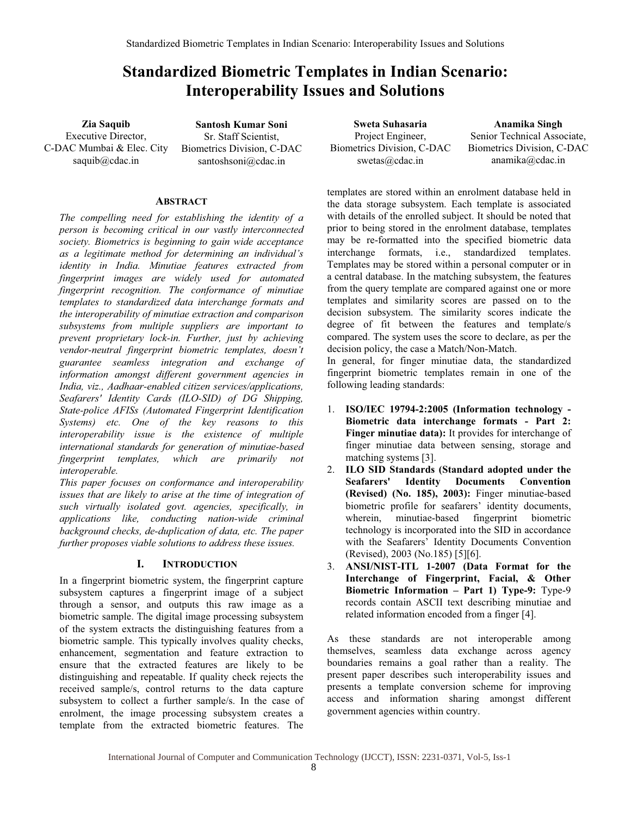# **Standardized Biometric Templates in Indian Scenario: Interoperability Issues and Solutions**

**Zia Saquib**  Executive Director, C-DAC Mumbai & Elec. City saquib@cdac.in

**Santosh Kumar Soni**  Sr. Staff Scientist, Biometrics Division, C-DAC santoshsoni@cdac.in

#### **ABSTRACT**

*The compelling need for establishing the identity of a person is becoming critical in our vastly interconnected society. Biometrics is beginning to gain wide acceptance as a legitimate method for determining an individual's identity in India. Minutiae features extracted from fingerprint images are widely used for automated fingerprint recognition. The conformance of minutiae templates to standardized data interchange formats and the interoperability of minutiae extraction and comparison subsystems from multiple suppliers are important to prevent proprietary lock-in. Further, just by achieving vendor-neutral fingerprint biometric templates, doesn't guarantee seamless integration and exchange of information amongst different government agencies in India, viz., Aadhaar-enabled citizen services/applications, Seafarers' Identity Cards (ILO-SID) of DG Shipping, State-police AFISs (Automated Fingerprint Identification Systems) etc. One of the key reasons to this interoperability issue is the existence of multiple international standards for generation of minutiae-based fingerprint templates, which are primarily not interoperable.* 

*This paper focuses on conformance and interoperability issues that are likely to arise at the time of integration of such virtually isolated govt. agencies, specifically, in applications like, conducting nation-wide criminal background checks, de-duplication of data, etc. The paper further proposes viable solutions to address these issues.* 

#### **I. INTRODUCTION**

In a fingerprint biometric system, the fingerprint capture subsystem captures a fingerprint image of a subject through a sensor, and outputs this raw image as a biometric sample. The digital image processing subsystem of the system extracts the distinguishing features from a biometric sample. This typically involves quality checks, enhancement, segmentation and feature extraction to ensure that the extracted features are likely to be distinguishing and repeatable. If quality check rejects the received sample/s, control returns to the data capture subsystem to collect a further sample/s. In the case of enrolment, the image processing subsystem creates a template from the extracted biometric features. The

**Sweta Suhasaria**  Project Engineer, Biometrics Division, C-DAC swetas@cdac.in

**Anamika Singh**  Senior Technical Associate, Biometrics Division, C-DAC anamika@cdac.in

templates are stored within an enrolment database held in the data storage subsystem. Each template is associated with details of the enrolled subject. It should be noted that prior to being stored in the enrolment database, templates may be re-formatted into the specified biometric data interchange formats, i.e., standardized templates. Templates may be stored within a personal computer or in a central database. In the matching subsystem, the features from the query template are compared against one or more templates and similarity scores are passed on to the decision subsystem. The similarity scores indicate the degree of fit between the features and template/s compared. The system uses the score to declare, as per the decision policy, the case a Match/Non-Match.

In general, for finger minutiae data, the standardized fingerprint biometric templates remain in one of the following leading standards:

- 1. **ISO/IEC 19794-2:2005 (Information technology Biometric data interchange formats - Part 2: Finger minutiae data):** It provides for interchange of finger minutiae data between sensing, storage and matching systems [3].
- 2. **ILO SID Standards (Standard adopted under the Seafarers' Identity Documents Convention (Revised) (No. 185), 2003):** Finger minutiae-based biometric profile for seafarers' identity documents, wherein, minutiae-based fingerprint biometric technology is incorporated into the SID in accordance with the Seafarers' Identity Documents Convention (Revised), 2003 (No.185) [5][6].
- 3. **ANSI/NIST-ITL 1-2007 (Data Format for the Interchange of Fingerprint, Facial, & Other Biometric Information – Part 1) Type-9:** Type-9 records contain ASCII text describing minutiae and related information encoded from a finger [4].

As these standards are not interoperable among themselves, seamless data exchange across agency boundaries remains a goal rather than a reality. The present paper describes such interoperability issues and presents a template conversion scheme for improving access and information sharing amongst different government agencies within country.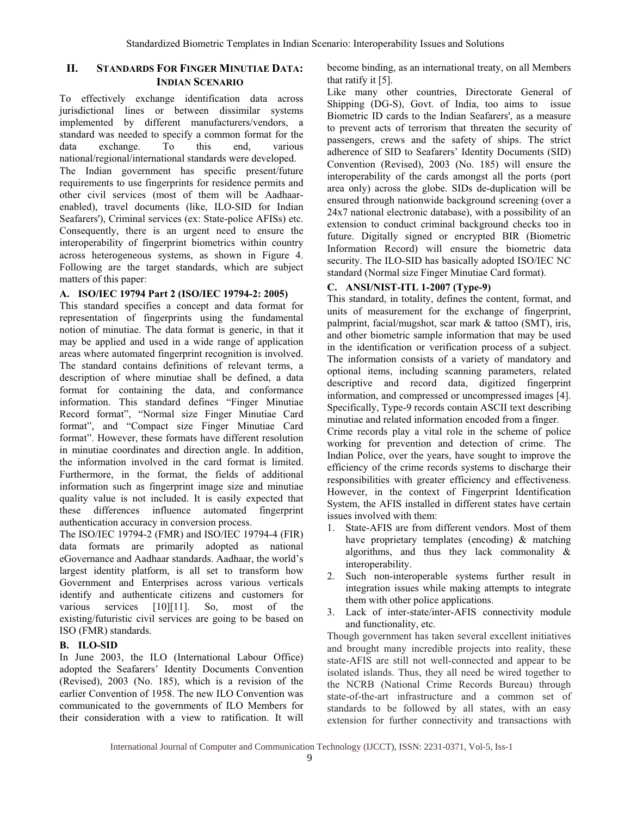### **II. STANDARDS FOR FINGER MINUTIAE DATA: INDIAN SCENARIO**

To effectively exchange identification data across jurisdictional lines or between dissimilar systems implemented by different manufacturers/vendors, a standard was needed to specify a common format for the data exchange. To this end, various national/regional/international standards were developed. The Indian government has specific present/future requirements to use fingerprints for residence permits and other civil services (most of them will be Aadhaarenabled), travel documents (like, ILO-SID for Indian Seafarers'), Criminal services (ex: State-police AFISs) etc. Consequently, there is an urgent need to ensure the interoperability of fingerprint biometrics within country across heterogeneous systems, as shown in Figure 4. Following are the target standards, which are subject matters of this paper:

#### **A. ISO/IEC 19794 Part 2 (ISO/IEC 19794-2: 2005)**

This standard specifies a concept and data format for representation of fingerprints using the fundamental notion of minutiae. The data format is generic, in that it may be applied and used in a wide range of application areas where automated fingerprint recognition is involved. The standard contains definitions of relevant terms, a description of where minutiae shall be defined, a data format for containing the data, and conformance information. This standard defines "Finger Minutiae Record format", "Normal size Finger Minutiae Card format", and "Compact size Finger Minutiae Card format". However, these formats have different resolution in minutiae coordinates and direction angle. In addition, the information involved in the card format is limited. Furthermore, in the format, the fields of additional information such as fingerprint image size and minutiae quality value is not included. It is easily expected that these differences influence automated fingerprint authentication accuracy in conversion process.

The ISO/IEC 19794-2 (FMR) and ISO/IEC 19794-4 (FIR) data formats are primarily adopted as national eGovernance and Aadhaar standards. Aadhaar, the world's largest identity platform, is all set to transform how Government and Enterprises across various verticals identify and authenticate citizens and customers for various services [10][11]. So, most of the existing/futuristic civil services are going to be based on ISO (FMR) standards.

## **B. ILO-SID**

In June 2003, the ILO (International Labour Office) adopted the Seafarers' Identity Documents Convention (Revised), 2003 (No. 185), which is a revision of the earlier Convention of 1958. The new ILO Convention was communicated to the governments of ILO Members for their consideration with a view to ratification. It will

become binding, as an international treaty, on all Members that ratify it [5].

Like many other countries, Directorate General of Shipping (DG-S), Govt. of India, too aims to issue Biometric ID cards to the Indian Seafarers', as a measure to prevent acts of terrorism that threaten the security of passengers, crews and the safety of ships. The strict adherence of SID to Seafarers' Identity Documents (SID) Convention (Revised), 2003 (No. 185) will ensure the interoperability of the cards amongst all the ports (port area only) across the globe. SIDs de-duplication will be ensured through nationwide background screening (over a 24x7 national electronic database), with a possibility of an extension to conduct criminal background checks too in future. Digitally signed or encrypted BIR (Biometric Information Record) will ensure the biometric data security. The ILO-SID has basically adopted ISO/IEC NC standard (Normal size Finger Minutiae Card format).

## **C. ANSI/NIST-ITL 1-2007 (Type-9)**

This standard, in totality, defines the content, format, and units of measurement for the exchange of fingerprint, palmprint, facial/mugshot, scar mark & tattoo (SMT), iris, and other biometric sample information that may be used in the identification or verification process of a subject. The information consists of a variety of mandatory and optional items, including scanning parameters, related descriptive and record data, digitized fingerprint information, and compressed or uncompressed images [4]. Specifically, Type-9 records contain ASCII text describing minutiae and related information encoded from a finger.

Crime records play a vital role in the scheme of police working for prevention and detection of crime. The Indian Police, over the years, have sought to improve the efficiency of the crime records systems to discharge their responsibilities with greater efficiency and effectiveness. However, in the context of Fingerprint Identification System, the AFIS installed in different states have certain issues involved with them:

- 1. State-AFIS are from different vendors. Most of them have proprietary templates (encoding) & matching algorithms, and thus they lack commonality & interoperability.
- 2. Such non-interoperable systems further result in integration issues while making attempts to integrate them with other police applications.
- 3. Lack of inter-state/inter-AFIS connectivity module and functionality, etc.

Though government has taken several excellent initiatives and brought many incredible projects into reality, these state-AFIS are still not well-connected and appear to be isolated islands. Thus, they all need be wired together to the NCRB (National Crime Records Bureau) through state-of-the-art infrastructure and a common set of standards to be followed by all states, with an easy extension for further connectivity and transactions with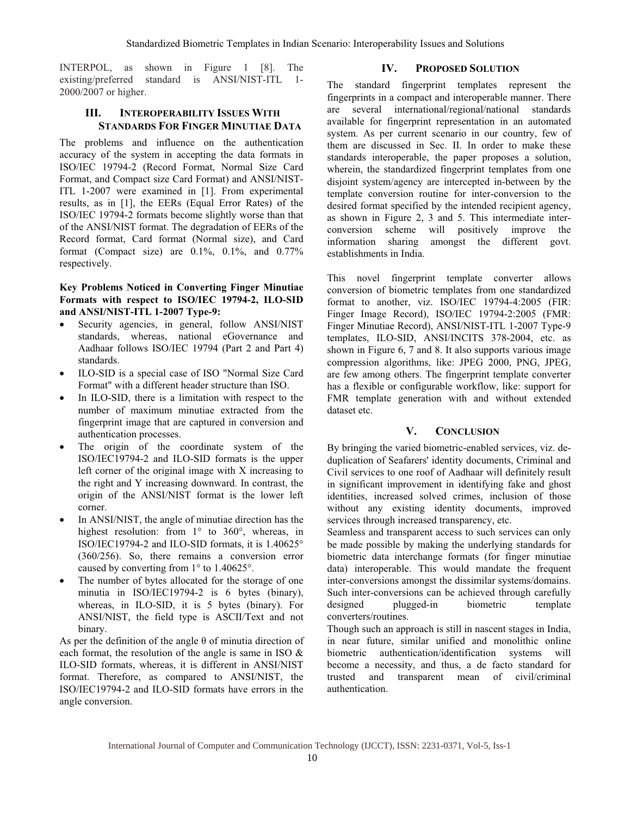INTERPOL, as shown in Figure 1 [8]. The existing/preferred standard is ANSI/NIST-ITL 1- 2000/2007 or higher.

# **III. INTEROPERABILITY ISSUES WITH STANDARDS FOR FINGER MINUTIAE DATA**

The problems and influence on the authentication accuracy of the system in accepting the data formats in ISO/IEC 19794-2 (Record Format, Normal Size Card Format, and Compact size Card Format) and ANSI/NIST-ITL 1-2007 were examined in [1]. From experimental results, as in [1], the EERs (Equal Error Rates) of the ISO/IEC 19794-2 formats become slightly worse than that of the ANSI/NIST format. The degradation of EERs of the Record format, Card format (Normal size), and Card format (Compact size) are  $0.1\%$ ,  $0.1\%$ , and  $0.77\%$ respectively.

#### **Key Problems Noticed in Converting Finger Minutiae Formats with respect to ISO/IEC 19794-2, ILO-SID and ANSI/NIST-ITL 1-2007 Type-9:**

- Security agencies, in general, follow ANSI/NIST standards, whereas, national eGovernance and Aadhaar follows ISO/IEC 19794 (Part 2 and Part 4) standards.
- x ILO-SID is a special case of ISO "Normal Size Card Format" with a different header structure than ISO.
- In ILO-SID, there is a limitation with respect to the number of maximum minutiae extracted from the fingerprint image that are captured in conversion and authentication processes.
- The origin of the coordinate system of the ISO/IEC19794-2 and ILO-SID formats is the upper left corner of the original image with X increasing to the right and Y increasing downward. In contrast, the origin of the ANSI/NIST format is the lower left corner.
- In ANSI/NIST, the angle of minutiae direction has the highest resolution: from 1° to 360°, whereas, in ISO/IEC19794-2 and ILO-SID formats, it is 1.40625° (360/256). So, there remains a conversion error caused by converting from 1° to 1.40625°.
- The number of bytes allocated for the storage of one minutia in ISO/IEC19794-2 is 6 bytes (binary), whereas, in ILO-SID, it is 5 bytes (binary). For ANSI/NIST, the field type is ASCII/Text and not binary.

As per the definition of the angle  $\theta$  of minutia direction of each format, the resolution of the angle is same in ISO & ILO-SID formats, whereas, it is different in ANSI/NIST format. Therefore, as compared to ANSI/NIST, the ISO/IEC19794-2 and ILO-SID formats have errors in the angle conversion.

#### **IV. PROPOSED SOLUTION**

The standard fingerprint templates represent the fingerprints in a compact and interoperable manner. There are several international/regional/national standards available for fingerprint representation in an automated system. As per current scenario in our country, few of them are discussed in Sec. II. In order to make these standards interoperable, the paper proposes a solution, wherein, the standardized fingerprint templates from one disjoint system/agency are intercepted in-between by the template conversion routine for inter-conversion to the desired format specified by the intended recipient agency, as shown in Figure 2, 3 and 5. This intermediate interconversion scheme will positively improve the information sharing amongst the different govt. establishments in India.

This novel fingerprint template converter allows conversion of biometric templates from one standardized format to another, viz. ISO/IEC 19794-4:2005 (FIR: Finger Image Record), ISO/IEC 19794-2:2005 (FMR: Finger Minutiae Record), ANSI/NIST-ITL 1-2007 Type-9 templates, ILO-SID, ANSI/INCITS 378-2004, etc. as shown in Figure 6, 7 and 8. It also supports various image compression algorithms, like: JPEG 2000, PNG, JPEG, are few among others. The fingerprint template converter has a flexible or configurable workflow, like: support for FMR template generation with and without extended dataset etc.

#### **V. CONCLUSION**

By bringing the varied biometric-enabled services, viz. deduplication of Seafarers' identity documents, Criminal and Civil services to one roof of Aadhaar will definitely result in significant improvement in identifying fake and ghost identities, increased solved crimes, inclusion of those without any existing identity documents, improved services through increased transparency, etc.

Seamless and transparent access to such services can only be made possible by making the underlying standards for biometric data interchange formats (for finger minutiae data) interoperable. This would mandate the frequent inter-conversions amongst the dissimilar systems/domains. Such inter-conversions can be achieved through carefully designed plugged-in biometric template converters/routines.

Though such an approach is still in nascent stages in India, in near future, similar unified and monolithic online biometric authentication/identification systems will become a necessity, and thus, a de facto standard for trusted and transparent mean of civil/criminal authentication.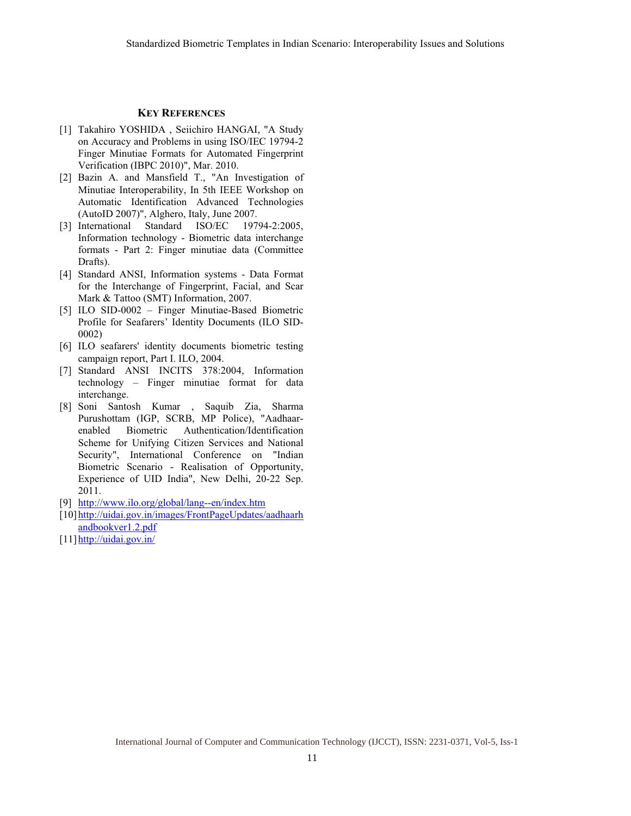#### **KEY REFERENCES**

- [1] Takahiro YOSHIDA, Seiichiro HANGAI, "A Study on Accuracy and Problems in using ISO/IEC 19794-2 Finger Minutiae Formats for Automated Fingerprint Verification (IBPC 2010)", Mar. 2010.
- [2] Bazin A. and Mansfield T., "An Investigation of Minutiae Interoperability, In 5th IEEE Workshop on Automatic Identification Advanced Technologies (AutoID 2007)", Alghero, Italy, June 2007.
- [3] International Standard ISO/EC 19794-2:2005, Information technology - Biometric data interchange formats - Part 2: Finger minutiae data (Committee Drafts).
- [4] Standard ANSI, Information systems Data Format for the Interchange of Fingerprint, Facial, and Scar Mark & Tattoo (SMT) Information, 2007.
- [5] ILO SID-0002 Finger Minutiae-Based Biometric Profile for Seafarers' Identity Documents (ILO SID-0002)
- [6] ILO seafarers' identity documents biometric testing campaign report, Part I. ILO, 2004.
- [7] Standard ANSI INCITS 378:2004, Information technology – Finger minutiae format for data interchange.
- [8] Soni Santosh Kumar , Saquib Zia, Sharma Purushottam (IGP, SCRB, MP Police), "Aadhaarenabled Biometric Authentication/Identification Scheme for Unifying Citizen Services and National Security", International Conference on "Indian Biometric Scenario - Realisation of Opportunity, Experience of UID India", New Delhi, 20-22 Sep. 2011.
- [9] http://www.ilo.org/global/lang--en/index.htm
- [10]http://uidai.gov.in/images/FrontPageUpdates/aadhaarh andbookver1.2.pdf
- [11] http://uidai.gov.in/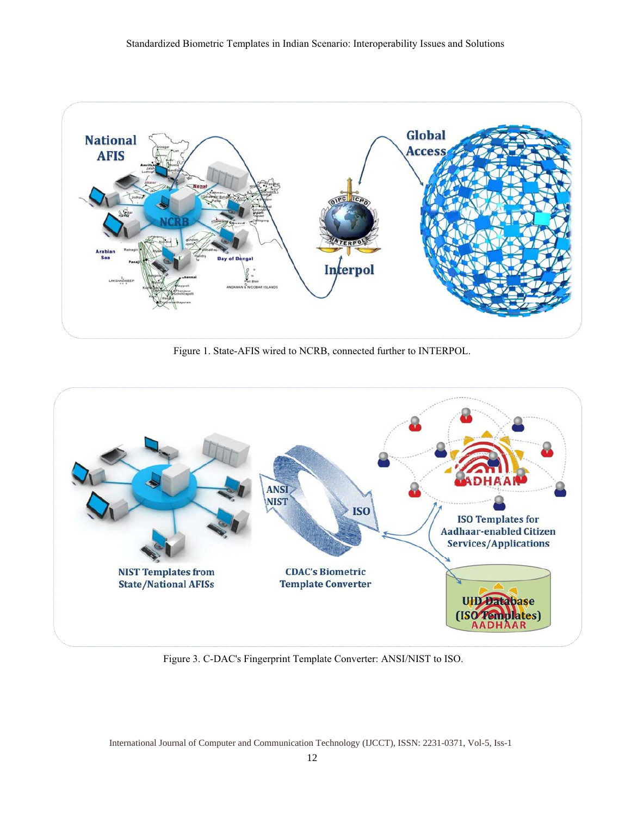

Figure 1. State-AFIS wired to NCRB, connected further to INTERPOL.



Figure 3. C-DAC's Fingerprint Template Converter: ANSI/NIST to ISO.

International Journal of Computer and Communication Technology (IJCCT), ISSN: 2231-0371, Vol-5, Iss-1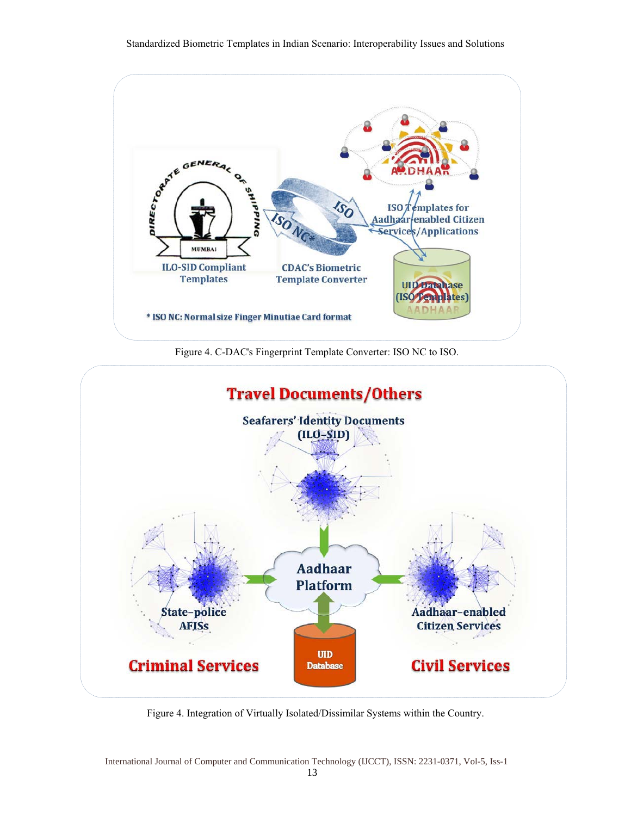





Figure 4. Integration of Virtually Isolated/Dissimilar Systems within the Country.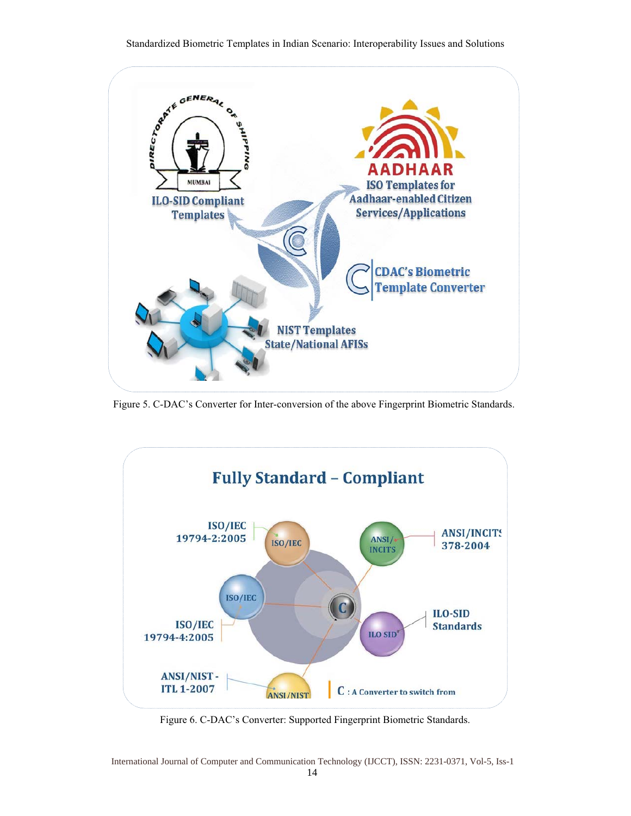

Figure 5. C-DAC's Converter for Inter-conversion of the above Fingerprint Biometric Standards.



Figure 6. C-DAC's Converter: Supported Fingerprint Biometric Standards.